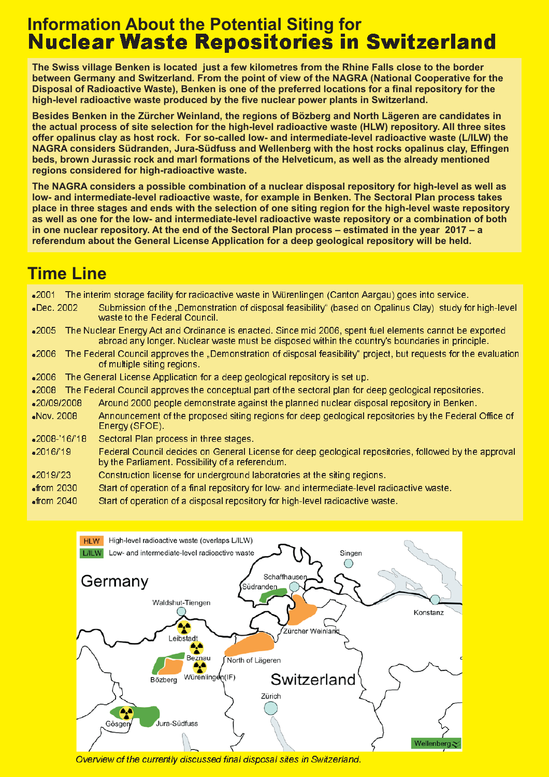# **Information About the Potential Siting for** <u>Nuclear Waste Repositories in Switzerland</u>

**The Swiss village Benken is located just a few kilometres from the Rhine Falls close to the border between Germany and Switzerland. From the point of view of the NAGRA (National Cooperative for the Disposal of Radioactive Waste), Benken is one of the preferred locations for a final repository for the high-level radioactive waste produced by the five nuclear power plants in Switzerland.**

**Besides Benken in the Zürcher Weinland, the regions of Bözberg and North Lägeren are candidates in the actual process of site selection for the high-level radioactive waste (HLW) repository. All three sites offer opalinus clay as host rock. For so-called low- and intermediate-level radioactive waste (L/ILW) the NAGRA considers Südranden, Jura-Südfuss and Wellenberg with the host rocks opalinus clay, Effingen beds, brown Jurassic rock and marl formations of the Helveticum, as well as the already mentioned regions considered for high-radioactive waste.**

**The NAGRA considers a possible combination of a nuclear disposal repository for high-level as well as low- and intermediate-level radioactive waste, for example in Benken. The Sectoral Plan process takes place in three stages and ends with the selection of one siting region for the high-level waste repository as well as one for the low- and intermediate-level radioactive waste repository or a combination of both in one nuclear repository. At the end of the Sectoral Plan process – estimated in the year 2017 – a referendum about the General License Application for a deep geological repository will be held.**

# **Time Line**

 $-2001$ Dec. 2002 Subm  $-2005$  $-2006$  $-2006$  $-2008$ -20/09/2008 Nov. 2008  $-2008 - 16/1$  $-2016/1$  $-201$ .The interim storage facility for radioactive waste in Würenlingen (Canton Aargau) goes into service ission of the "Demonstration of disposal feasibility" (based on Opalinus Clay) study for high-level waste to the Federal Council. 2005  $\;$  The Nuclear Energy Act and Ordinance is enacted. Since mid 2006, spent fuel elements cannot be exported abroad any longer. Nuclear waste must be disposed within the country's boundaries in principle. 2006 The Federal Council approves the "Demonstration of disposal feasibility" project, but requests for the evaluation of multiple siting regions. The General License Application for a deep geological repository is set up. The Federal Council approves the conceptual part of the sectoral plan for deep geological repositories. 20/09/2008 Around 2000 people demonstrate against the planned nuclear disposal repository in Benken. Nov. 2008 Announcement of the proposed siting regions for deep geological repositories by the Federal Office of Energy (SFOE). Sectoral Plan process in three stages. Federal Council decides on General License for deep geological repositories, followed by the approval by the Parliament. Possibility of a referendum. Construction license for underground laboratories at the siting regions.

- $\bullet$ from 2030 Start of operation of a final repository for low- and intermediate-level radioactive waste.
- $\bullet$ from Start of operation of a disposal repository for high-level radioactive waste.



Overview of the currently discussed final disposal sites in Switzerland.